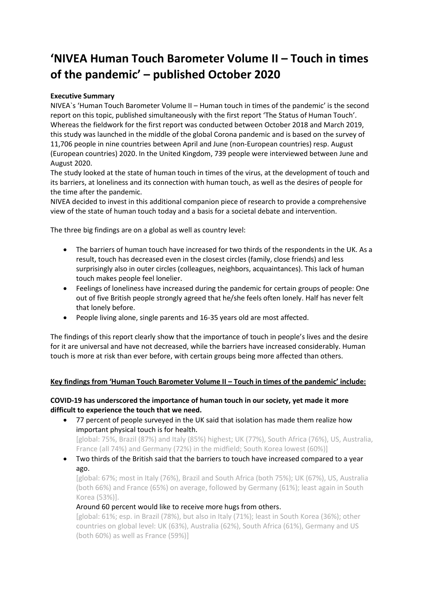# **'NIVEA Human Touch Barometer Volume II – Touch in times of the pandemic' – published October 2020**

# **Executive Summary**

NIVEA`s 'Human Touch Barometer Volume II – Human touch in times of the pandemic' is the second report on this topic, published simultaneously with the first report 'The Status of Human Touch'. Whereas the fieldwork for the first report was conducted between October 2018 and March 2019, this study was launched in the middle of the global Corona pandemic and is based on the survey of 11,706 people in nine countries between April and June (non-European countries) resp. August (European countries) 2020. In the United Kingdom, 739 people were interviewed between June and August 2020.

The study looked at the state of human touch in times of the virus, at the development of touch and its barriers, at loneliness and its connection with human touch, as well as the desires of people for the time after the pandemic.

NIVEA decided to invest in this additional companion piece of research to provide a comprehensive view of the state of human touch today and a basis for a societal debate and intervention.

The three big findings are on a global as well as country level:

- The barriers of human touch have increased for two thirds of the respondents in the UK. As a result, touch has decreased even in the closest circles (family, close friends) and less surprisingly also in outer circles (colleagues, neighbors, acquaintances). This lack of human touch makes people feel lonelier.
- Feelings of loneliness have increased during the pandemic for certain groups of people: One out of five British people strongly agreed that he/she feels often lonely. Half has never felt that lonely before.
- People living alone, single parents and 16-35 years old are most affected.

The findings of this report clearly show that the importance of touch in people's lives and the desire for it are universal and have not decreased, while the barriers have increased considerably. Human touch is more at risk than ever before, with certain groups being more affected than others.

## **Key findings from 'Human Touch Barometer Volume II – Touch in times of the pandemic' include:**

#### **COVID-19 has underscored the importance of human touch in our society, yet made it more difficult to experience the touch that we need.**

- 77 percent of people surveyed in the UK said that isolation has made them realize how important physical touch is for health. [global: 75%, Brazil (87%) and Italy (85%) highest; UK (77%), South Africa (76%), US, Australia, France (all 74%) and Germany (72%) in the midfield; South Korea lowest (60%)]
- Two thirds of the British said that the barriers to touch have increased compared to a year ago.

[global: 67%; most in Italy (76%), Brazil and South Africa (both 75%); UK (67%), US, Australia (both 66%) and France (65%) on average, followed by Germany (61%); least again in South Korea (53%)].

## Around 60 percent would like to receive more hugs from others.

[global: 61%; esp. in Brazil (78%), but also in Italy (71%); least in South Korea (36%); other countries on global level: UK (63%), Australia (62%), South Africa (61%), Germany and US (both 60%) as well as France (59%)]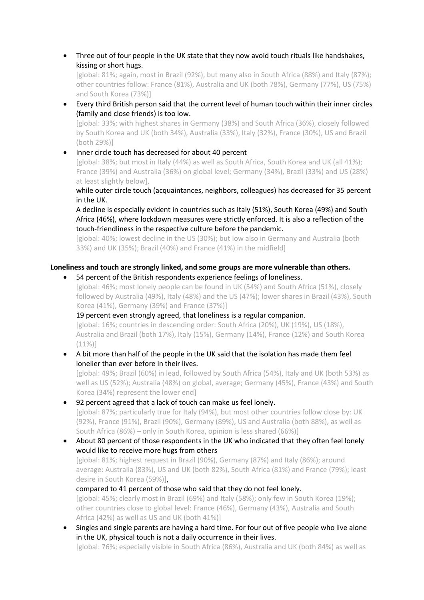• Three out of four people in the UK state that they now avoid touch rituals like handshakes, kissing or short hugs.

[global: 81%; again, most in Brazil (92%), but many also in South Africa (88%) and Italy (87%); other countries follow: France (81%), Australia and UK (both 78%), Germany (77%), US (75%) and South Korea (73%)]

• Every third British person said that the current level of human touch within their inner circles (family and close friends) is too low.

[global: 33%; with highest shares in Germany (38%) and South Africa (36%), closely followed by South Korea and UK (both 34%), Australia (33%), Italy (32%), France (30%), US and Brazil (both 29%)]

• Inner circle touch has decreased for about 40 percent [global: 38%; but most in Italy (44%) as well as South Africa, South Korea and UK (all 41%); France (39%) and Australia (36%) on global level; Germany (34%), Brazil (33%) and US (28%) at least slightly below],

while outer circle touch (acquaintances, neighbors, colleagues) has decreased for 35 percent in the UK.

A decline is especially evident in countries such as Italy (51%), South Korea (49%) and South Africa (46%), where lockdown measures were strictly enforced. It is also a reflection of the touch-friendliness in the respective culture before the pandemic.

[global: 40%; lowest decline in the US (30%); but low also in Germany and Australia (both 33%) and UK (35%); Brazil (40%) and France (41%) in the midfield]

## **Loneliness and touch are strongly linked, and some groups are more vulnerable than others.**

• 54 percent of the British respondents experience feelings of loneliness.

[global: 46%; most lonely people can be found in UK (54%) and South Africa (51%), closely followed by Australia (49%), Italy (48%) and the US (47%); lower shares in Brazil (43%), South Korea (41%), Germany (39%) and France (37%)]

19 percent even strongly agreed, that loneliness is a regular companion.

[global: 16%; countries in descending order: South Africa (20%), UK (19%), US (18%), Australia and Brazil (both 17%), Italy (15%), Germany (14%), France (12%) and South Korea (11%)]

• A bit more than half of the people in the UK said that the isolation has made them feel lonelier than ever before in their lives.

[global: 49%; Brazil (60%) in lead, followed by South Africa (54%), Italy and UK (both 53%) as well as US (52%); Australia (48%) on global, average; Germany (45%), France (43%) and South Korea (34%) represent the lower end]

- 92 percent agreed that a lack of touch can make us feel lonely. [global: 87%; particularly true for Italy (94%), but most other countries follow close by: UK (92%), France (91%), Brazil (90%), Germany (89%), US and Australia (both 88%), as well as South Africa (86%) – only in South Korea, opinion is less shared (66%)]
- About 80 percent of those respondents in the UK who indicated that they often feel lonely would like to receive more hugs from others [global: 81%; highest request in Brazil (90%), Germany (87%) and Italy (86%); around average: Australia (83%), US and UK (both 82%), South Africa (81%) and France (79%); least desire in South Korea (59%)], compared to 41 percent of those who said that they do not feel lonely. [global: 45%; clearly most in Brazil (69%) and Italy (58%); only few in South Korea (19%);

other countries close to global level: France (46%), Germany (43%), Australia and South Africa (42%) as well as US and UK (both 41%)]

• Singles and single parents are having a hard time. For four out of five people who live alone in the UK, physical touch is not a daily occurrence in their lives.

[global: 76%; especially visible in South Africa (86%), Australia and UK (both 84%) as well as